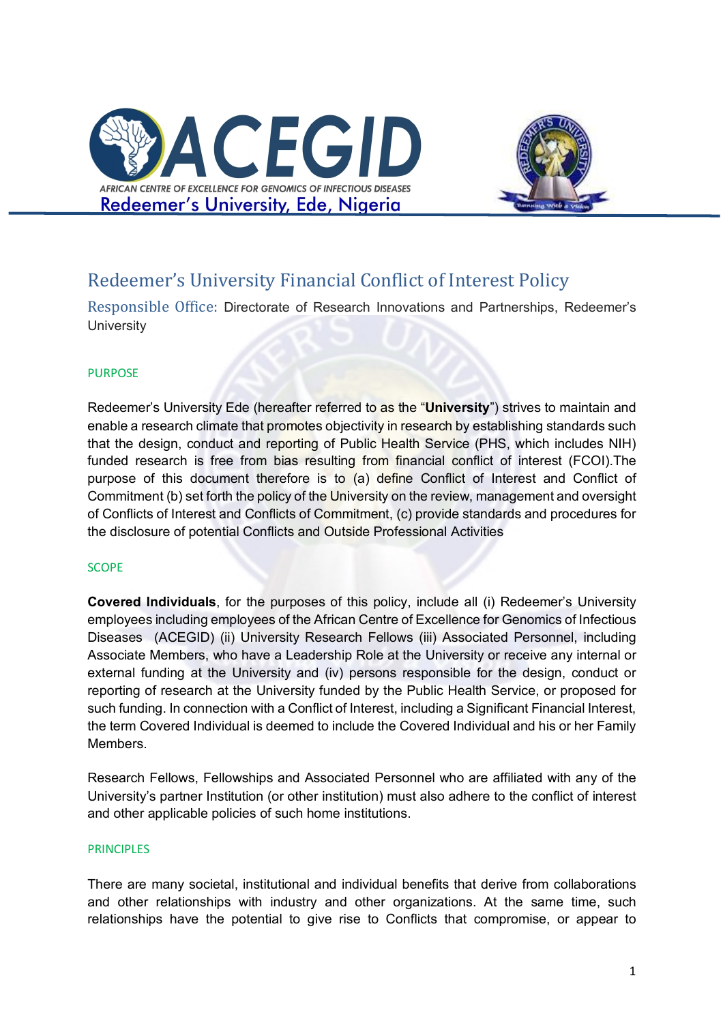



# Redeemer's University Financial Conflict of Interest Policy

Responsible Office: Directorate of Research Innovations and Partnerships, Redeemer's **University** 

### PURPOSE

Redeemer's University Ede (hereafter referred to as the "**University**") strives to maintain and enable a research climate that promotes objectivity in research by establishing standards such that the design, conduct and reporting of Public Health Service (PHS, which includes NIH) funded research is free from bias resulting from financial conflict of interest (FCOI).The purpose of this document therefore is to (a) define Conflict of Interest and Conflict of Commitment (b) set forth the policy of the University on the review, management and oversight of Conflicts of Interest and Conflicts of Commitment, (c) provide standards and procedures for the disclosure of potential Conflicts and Outside Professional Activities

### SCOPE

**Covered Individuals**, for the purposes of this policy, include all (i) Redeemer's University employees including employees of the African Centre of Excellence for Genomics of Infectious Diseases (ACEGID) (ii) University Research Fellows (iii) Associated Personnel, including Associate Members, who have a Leadership Role at the University or receive any internal or external funding at the University and (iv) persons responsible for the design, conduct or reporting of research at the University funded by the Public Health Service, or proposed for such funding. In connection with a Conflict of Interest, including a Significant Financial Interest, the term Covered Individual is deemed to include the Covered Individual and his or her Family Members.

Research Fellows, Fellowships and Associated Personnel who are affiliated with any of the University's partner Institution (or other institution) must also adhere to the conflict of interest and other applicable policies of such home institutions.

### **PRINCIPLES**

There are many societal, institutional and individual benefits that derive from collaborations and other relationships with industry and other organizations. At the same time, such relationships have the potential to give rise to Conflicts that compromise, or appear to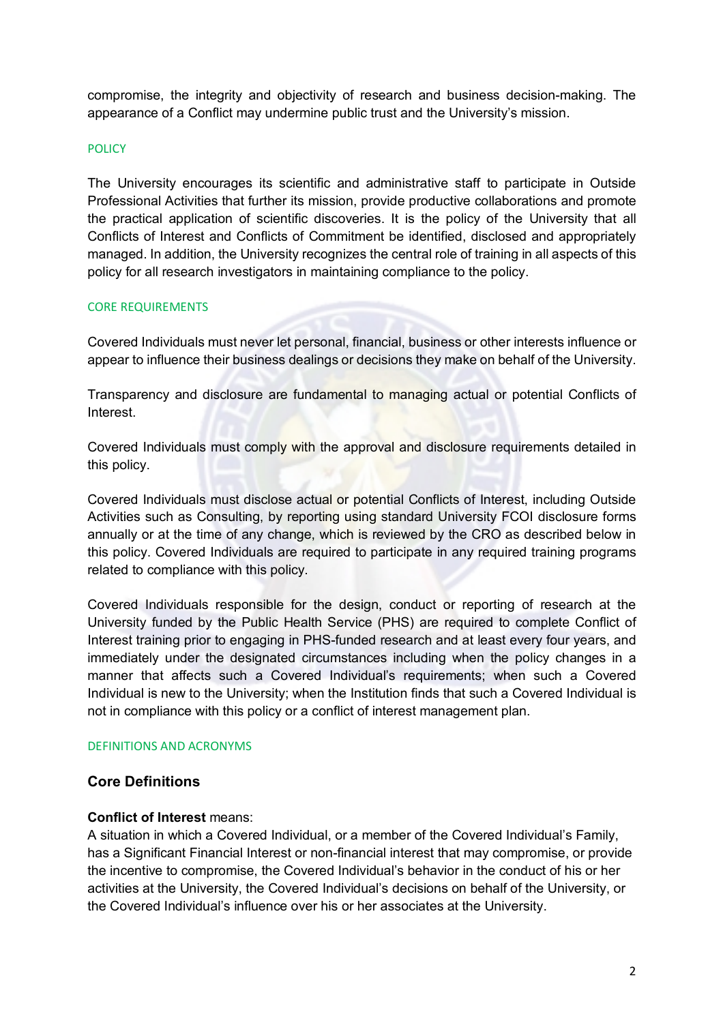compromise, the integrity and objectivity of research and business decision-making. The appearance of a Conflict may undermine public trust and the University's mission.

#### **POLICY**

The University encourages its scientific and administrative staff to participate in Outside Professional Activities that further its mission, provide productive collaborations and promote the practical application of scientific discoveries. It is the policy of the University that all Conflicts of Interest and Conflicts of Commitment be identified, disclosed and appropriately managed. In addition, the University recognizes the central role of training in all aspects of this policy for all research investigators in maintaining compliance to the policy.

#### CORE REQUIREMENTS

Covered Individuals must never let personal, financial, business or other interests influence or appear to influence their business dealings or decisions they make on behalf of the University.

Transparency and disclosure are fundamental to managing actual or potential Conflicts of Interest.

Covered Individuals must comply with the approval and disclosure requirements detailed in this policy.

Covered Individuals must disclose actual or potential Conflicts of Interest, including Outside Activities such as Consulting, by reporting using standard University FCOI disclosure forms annually or at the time of any change, which is reviewed by the CRO as described below in this policy. Covered Individuals are required to participate in any required training programs related to compliance with this policy.

Covered Individuals responsible for the design, conduct or reporting of research at the University funded by the Public Health Service (PHS) are required to complete Conflict of Interest training prior to engaging in PHS-funded research and at least every four years, and immediately under the designated circumstances including when the policy changes in a manner that affects such a Covered Individual's requirements; when such a Covered Individual is new to the University; when the Institution finds that such a Covered Individual is not in compliance with this policy or a conflict of interest management plan.

#### DEFINITIONS AND ACRONYMS

### **Core Definitions**

### **Conflict of Interest** means:

A situation in which a Covered Individual, or a member of the Covered Individual's Family, has a Significant Financial Interest or non-financial interest that may compromise, or provide the incentive to compromise, the Covered Individual's behavior in the conduct of his or her activities at the University, the Covered Individual's decisions on behalf of the University, or the Covered Individual's influence over his or her associates at the University.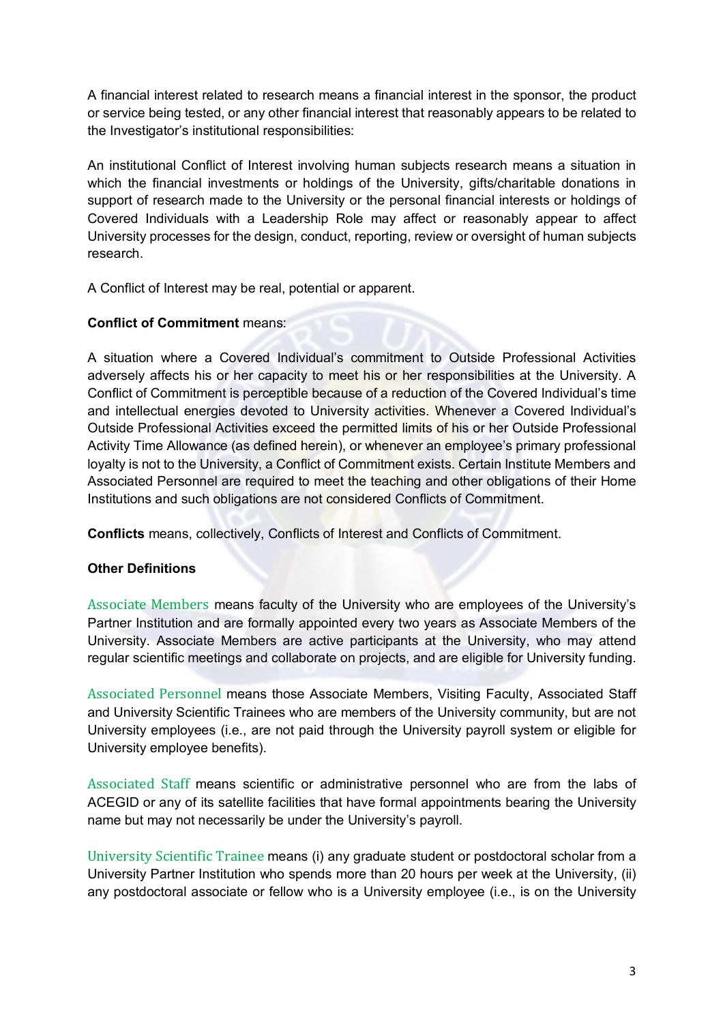A financial interest related to research means a financial interest in the sponsor, the product or service being tested, or any other financial interest that reasonably appears to be related to the Investigator's institutional responsibilities:

An institutional Conflict of Interest involving human subjects research means a situation in which the financial investments or holdings of the University, gifts/charitable donations in support of research made to the University or the personal financial interests or holdings of Covered Individuals with a Leadership Role may affect or reasonably appear to affect University processes for the design, conduct, reporting, review or oversight of human subjects research.

A Conflict of Interest may be real, potential or apparent.

### **Conflict of Commitment** means:

A situation where a Covered Individual's commitment to Outside Professional Activities adversely affects his or her capacity to meet his or her responsibilities at the University. A Conflict of Commitment is perceptible because of a reduction of the Covered Individual's time and intellectual energies devoted to University activities. Whenever a Covered Individual's Outside Professional Activities exceed the permitted limits of his or her Outside Professional Activity Time Allowance (as defined herein), or whenever an employee's primary professional loyalty is not to the University, a Conflict of Commitment exists. Certain Institute Members and Associated Personnel are required to meet the teaching and other obligations of their Home Institutions and such obligations are not considered Conflicts of Commitment.

**Conflicts** means, collectively, Conflicts of Interest and Conflicts of Commitment.

# **Other Definitions**

Associate Members means faculty of the University who are employees of the University's Partner Institution and are formally appointed every two years as Associate Members of the University. Associate Members are active participants at the University, who may attend regular scientific meetings and collaborate on projects, and are eligible for University funding.

Associated Personnel means those Associate Members, Visiting Faculty, Associated Staff and University Scientific Trainees who are members of the University community, but are not University employees (i.e., are not paid through the University payroll system or eligible for University employee benefits).

Associated Staff means scientific or administrative personnel who are from the labs of ACEGID or any of its satellite facilities that have formal appointments bearing the University name but may not necessarily be under the University's payroll.

University Scientific Trainee means (i) any graduate student or postdoctoral scholar from a University Partner Institution who spends more than 20 hours per week at the University, (ii) any postdoctoral associate or fellow who is a University employee (i.e., is on the University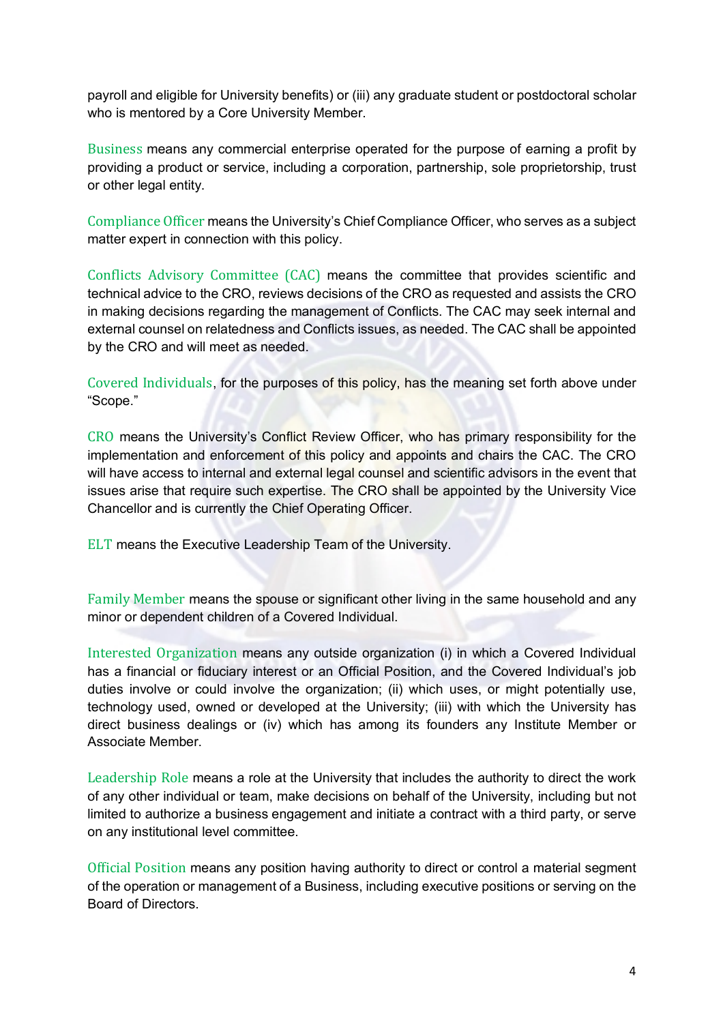payroll and eligible for University benefits) or (iii) any graduate student or postdoctoral scholar who is mentored by a Core University Member.

Business means any commercial enterprise operated for the purpose of earning a profit by providing a product or service, including a corporation, partnership, sole proprietorship, trust or other legal entity.

Compliance Officer means the University's Chief Compliance Officer, who serves as a subject matter expert in connection with this policy.

Conflicts Advisory Committee (CAC) means the committee that provides scientific and technical advice to the CRO, reviews decisions of the CRO as requested and assists the CRO in making decisions regarding the management of Conflicts. The CAC may seek internal and external counsel on relatedness and Conflicts issues, as needed. The CAC shall be appointed by the CRO and will meet as needed.

Covered Individuals, for the purposes of this policy, has the meaning set forth above under "Scope."

CRO means the University's Conflict Review Officer, who has primary responsibility for the implementation and enforcement of this policy and appoints and chairs the CAC. The CRO will have access to internal and external legal counsel and scientific advisors in the event that issues arise that require such expertise. The CRO shall be appointed by the University Vice Chancellor and is currently the Chief Operating Officer.

ELT means the Executive Leadership Team of the University.

Family Member means the spouse or significant other living in the same household and any minor or dependent children of a Covered Individual.

Interested Organization means any outside organization (i) in which a Covered Individual has a financial or fiduciary interest or an Official Position, and the Covered Individual's job duties involve or could involve the organization; (ii) which uses, or might potentially use, technology used, owned or developed at the University; (iii) with which the University has direct business dealings or (iv) which has among its founders any Institute Member or Associate Member.

Leadership Role means a role at the University that includes the authority to direct the work of any other individual or team, make decisions on behalf of the University, including but not limited to authorize a business engagement and initiate a contract with a third party, or serve on any institutional level committee.

Official Position means any position having authority to direct or control a material segment of the operation or management of a Business, including executive positions or serving on the Board of Directors.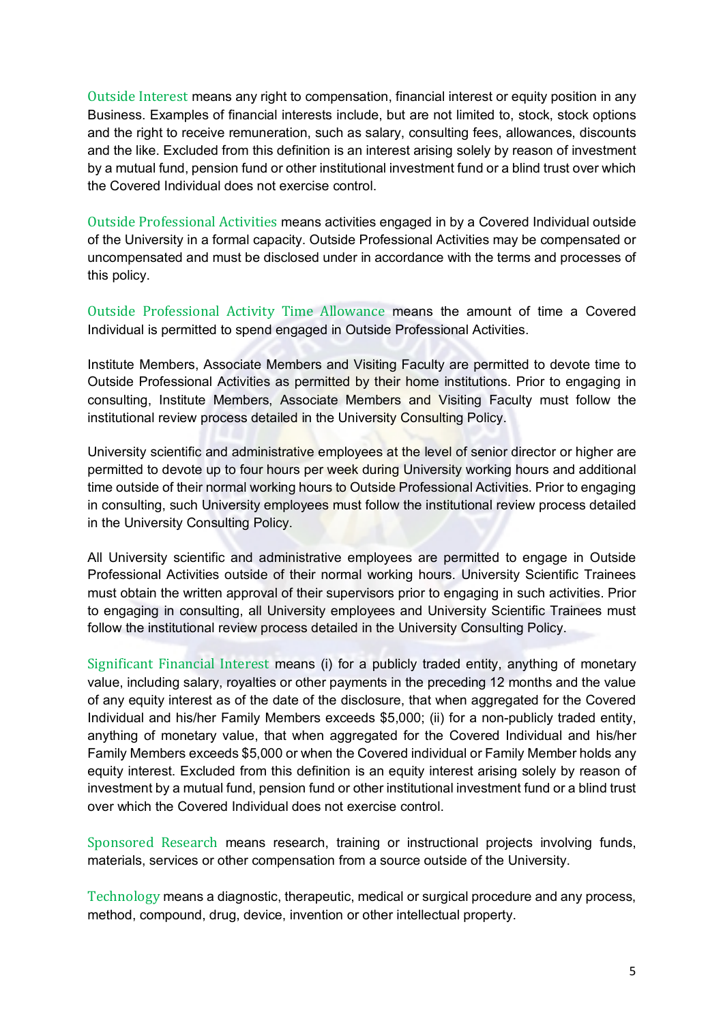Outside Interest means any right to compensation, financial interest or equity position in any Business. Examples of financial interests include, but are not limited to, stock, stock options and the right to receive remuneration, such as salary, consulting fees, allowances, discounts and the like. Excluded from this definition is an interest arising solely by reason of investment by a mutual fund, pension fund or other institutional investment fund or a blind trust over which the Covered Individual does not exercise control.

Outside Professional Activities means activities engaged in by a Covered Individual outside of the University in a formal capacity. Outside Professional Activities may be compensated or uncompensated and must be disclosed under in accordance with the terms and processes of this policy.

Outside Professional Activity Time Allowance means the amount of time a Covered Individual is permitted to spend engaged in Outside Professional Activities.

Institute Members, Associate Members and Visiting Faculty are permitted to devote time to Outside Professional Activities as permitted by their home institutions. Prior to engaging in consulting, Institute Members, Associate Members and Visiting Faculty must follow the institutional review process detailed in the University Consulting Policy.

University scientific and administrative employees at the level of senior director or higher are permitted to devote up to four hours per week during University working hours and additional time outside of their normal working hours to Outside Professional Activities. Prior to engaging in consulting, such University employees must follow the institutional review process detailed in the University Consulting Policy.

All University scientific and administrative employees are permitted to engage in Outside Professional Activities outside of their normal working hours. University Scientific Trainees must obtain the written approval of their supervisors prior to engaging in such activities. Prior to engaging in consulting, all University employees and University Scientific Trainees must follow the institutional review process detailed in the University Consulting Policy.

Significant Financial Interest means (i) for a publicly traded entity, anything of monetary value, including salary, royalties or other payments in the preceding 12 months and the value of any equity interest as of the date of the disclosure, that when aggregated for the Covered Individual and his/her Family Members exceeds \$5,000; (ii) for a non-publicly traded entity, anything of monetary value, that when aggregated for the Covered Individual and his/her Family Members exceeds \$5,000 or when the Covered individual or Family Member holds any equity interest. Excluded from this definition is an equity interest arising solely by reason of investment by a mutual fund, pension fund or other institutional investment fund or a blind trust over which the Covered Individual does not exercise control.

Sponsored Research means research, training or instructional projects involving funds, materials, services or other compensation from a source outside of the University.

Technology means a diagnostic, therapeutic, medical or surgical procedure and any process, method, compound, drug, device, invention or other intellectual property.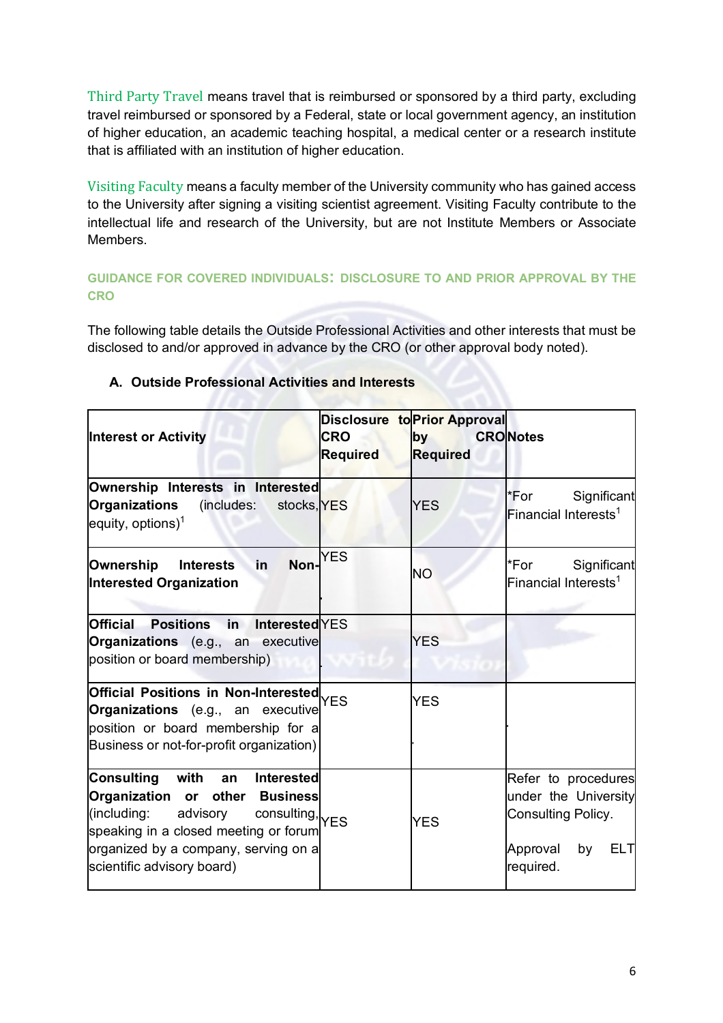Third Party Travel means travel that is reimbursed or sponsored by a third party, excluding travel reimbursed or sponsored by a Federal, state or local government agency, an institution of higher education, an academic teaching hospital, a medical center or a research institute that is affiliated with an institution of higher education.

Visiting Faculty means a faculty member of the University community who has gained access to the University after signing a visiting scientist agreement. Visiting Faculty contribute to the intellectual life and research of the University, but are not Institute Members or Associate Members.

**GUIDANCE FOR COVERED INDIVIDUALS: DISCLOSURE TO AND PRIOR APPROVAL BY THE CRO** 

The following table details the Outside Professional Activities and other interests that must be disclosed to and/or approved in advance by the CRO (or other approval body noted).

| <b>Interest or Activity</b>                                                                                                                                                                                                         | <b>CRO</b><br><b>Required</b> | <b>Disclosure to Prior Approval</b><br><b>by</b><br><b>Required</b> | <b>CRONotes</b>                                                                                                |
|-------------------------------------------------------------------------------------------------------------------------------------------------------------------------------------------------------------------------------------|-------------------------------|---------------------------------------------------------------------|----------------------------------------------------------------------------------------------------------------|
| Ownership Interests in Interested<br><b>Organizations</b><br>(includes:<br>stocks, YES<br>equity, options) <sup>1</sup>                                                                                                             |                               | <b>YES</b>                                                          | *For<br>Significant<br>Financial Interests <sup>1</sup>                                                        |
| Non-<br>in<br>Ownership<br><b>Interests</b><br>Interested Organization                                                                                                                                                              | <b>YES</b>                    | <b>NO</b>                                                           | *For<br>Significant<br>Financial Interests <sup>1</sup>                                                        |
| <b>Official</b><br><b>Positions</b> in<br><b>Interested YES</b><br>Organizations (e.g., an executive<br>position or board membership)                                                                                               |                               | <b>YES</b>                                                          |                                                                                                                |
| Official Positions in Non-Interested YES<br>Organizations (e.g., an executive<br>position or board membership for a<br>Business or not-for-profit organization)                                                                     |                               | <b>YES</b>                                                          |                                                                                                                |
| Consulting with an<br><b>Interested</b><br>Organization or other Business<br>(including:<br>advisory consulting, YES<br>speaking in a closed meeting or forum<br>organized by a company, serving on a<br>scientific advisory board) |                               | <b>YES</b>                                                          | Refer to procedures<br>under the University<br>Consulting Policy.<br>Approval<br>by<br><b>ELT</b><br>required. |

# **A. Outside Professional Activities and Interests**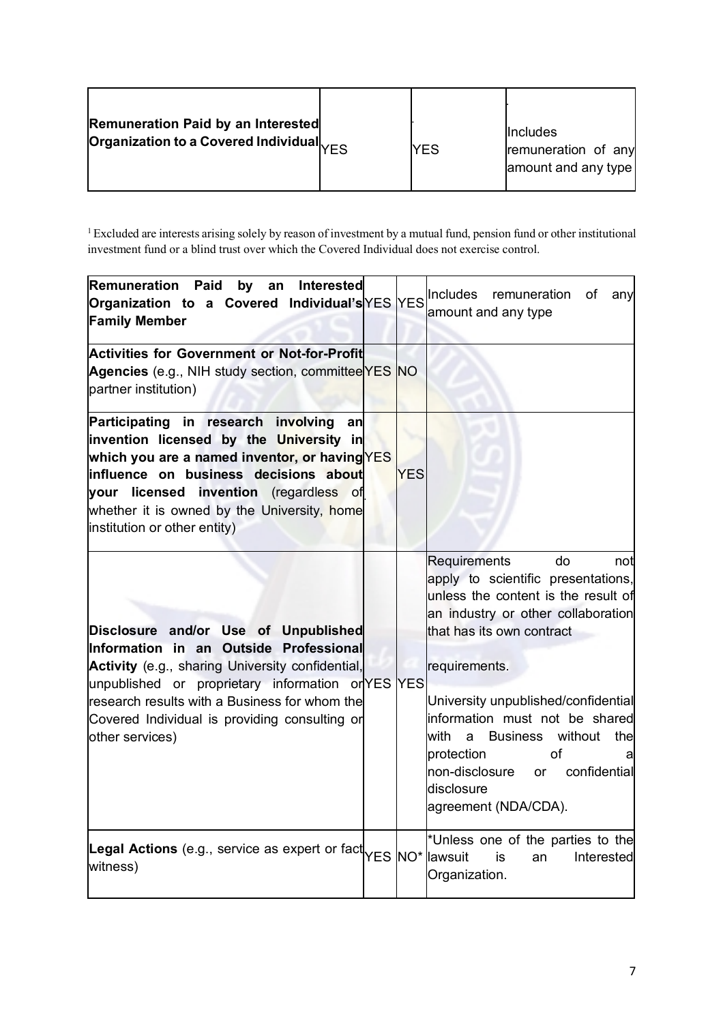| Remuneration Paid by an Interested<br>Organization to a Covered Individual $_{\mid \! \! \! \mid E \, \! \! \! }$ |  | <b>YES</b> | Includes<br>remuneration of any<br>amount and any type |
|-------------------------------------------------------------------------------------------------------------------|--|------------|--------------------------------------------------------|
|-------------------------------------------------------------------------------------------------------------------|--|------------|--------------------------------------------------------|

 $1$  Excluded are interests arising solely by reason of investment by a mutual fund, pension fund or other institutional investment fund or a blind trust over which the Covered Individual does not exercise control.

| <b>Remuneration Paid</b><br>by an<br><b>Interested</b><br> Organization to a Covered Individual's∣YES <u>Y</u> ES<br><b>Family Member</b>                                                                                                                                                                    |            | Includes remuneration<br>of<br>any<br>amount and any type                                                                                                                                                                                                                                                                                                                                             |
|--------------------------------------------------------------------------------------------------------------------------------------------------------------------------------------------------------------------------------------------------------------------------------------------------------------|------------|-------------------------------------------------------------------------------------------------------------------------------------------------------------------------------------------------------------------------------------------------------------------------------------------------------------------------------------------------------------------------------------------------------|
| Activities for Government or Not-for-Profit<br>Agencies (e.g., NIH study section, committee YES NO<br>partner institution)                                                                                                                                                                                   |            |                                                                                                                                                                                                                                                                                                                                                                                                       |
| Participating in research involving<br>an<br>invention licensed by the University in<br>which you are a named inventor, or having YES<br>influence on business decisions about<br>your licensed invention (regardless of<br>whether it is owned by the University, home<br>institution or other entity)      | <b>YES</b> |                                                                                                                                                                                                                                                                                                                                                                                                       |
| Disclosure and/or Use of Unpublished<br>Information in an Outside Professional<br>Activity (e.g., sharing University confidential,<br>unpublished or proprietary information or YES YES<br>research results with a Business for whom the<br>Covered Individual is providing consulting or<br>other services) |            | Requirements<br>do<br>not<br>apply to scientific presentations,<br>unless the content is the result of<br>an industry or other collaboration<br>that has its own contract<br>requirements.<br>University unpublished/confidential<br>information must not be shared<br>with<br>a Business without<br>thel<br>protection<br>οf<br>non-disclosure or confidential<br>disclosure<br>agreement (NDA/CDA). |
| Legal Actions (e.g., service as expert or fact YES NO* lawsuit<br>witness)                                                                                                                                                                                                                                   |            | *Unless one of the parties to the<br>is<br>Interested<br>an<br>Organization.                                                                                                                                                                                                                                                                                                                          |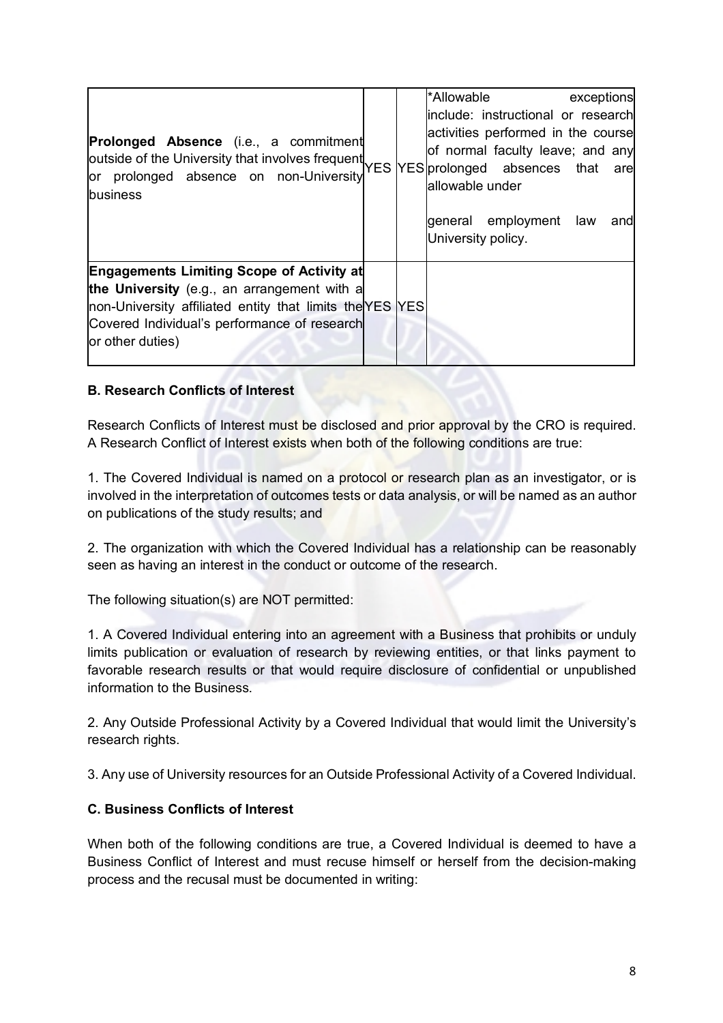| <b>Prolonged Absence</b> (i.e., a commitment<br>outside of the University that involves frequent<br>WES YES prolonged absences that are<br>or prolonged absence on non-University<br>business                                   |  | *Allowable exceptions<br>include: instructional or research<br>activities performed in the course<br>of normal faculty leave; and any<br>allowable under<br>general employment law<br>andl<br>University policy. |
|---------------------------------------------------------------------------------------------------------------------------------------------------------------------------------------------------------------------------------|--|------------------------------------------------------------------------------------------------------------------------------------------------------------------------------------------------------------------|
| <b>Engagements Limiting Scope of Activity at</b><br>the University (e.g., an arrangement with a<br>non-University affiliated entity that limits the YES YES<br>Covered Individual's performance of research<br>or other duties) |  |                                                                                                                                                                                                                  |

### **B. Research Conflicts of Interest**

Research Conflicts of Interest must be disclosed and prior approval by the CRO is required. A Research Conflict of Interest exists when both of the following conditions are true:

1. The Covered Individual is named on a protocol or research plan as an investigator, or is involved in the interpretation of outcomes tests or data analysis, or will be named as an author on publications of the study results; and

2. The organization with which the Covered Individual has a relationship can be reasonably seen as having an interest in the conduct or outcome of the research.

The following situation(s) are NOT permitted:

1. A Covered Individual entering into an agreement with a Business that prohibits or unduly limits publication or evaluation of research by reviewing entities, or that links payment to favorable research results or that would require disclosure of confidential or unpublished information to the Business.

2. Any Outside Professional Activity by a Covered Individual that would limit the University's research rights.

3. Any use of University resources for an Outside Professional Activity of a Covered Individual.

### **C. Business Conflicts of Interest**

When both of the following conditions are true, a Covered Individual is deemed to have a Business Conflict of Interest and must recuse himself or herself from the decision-making process and the recusal must be documented in writing: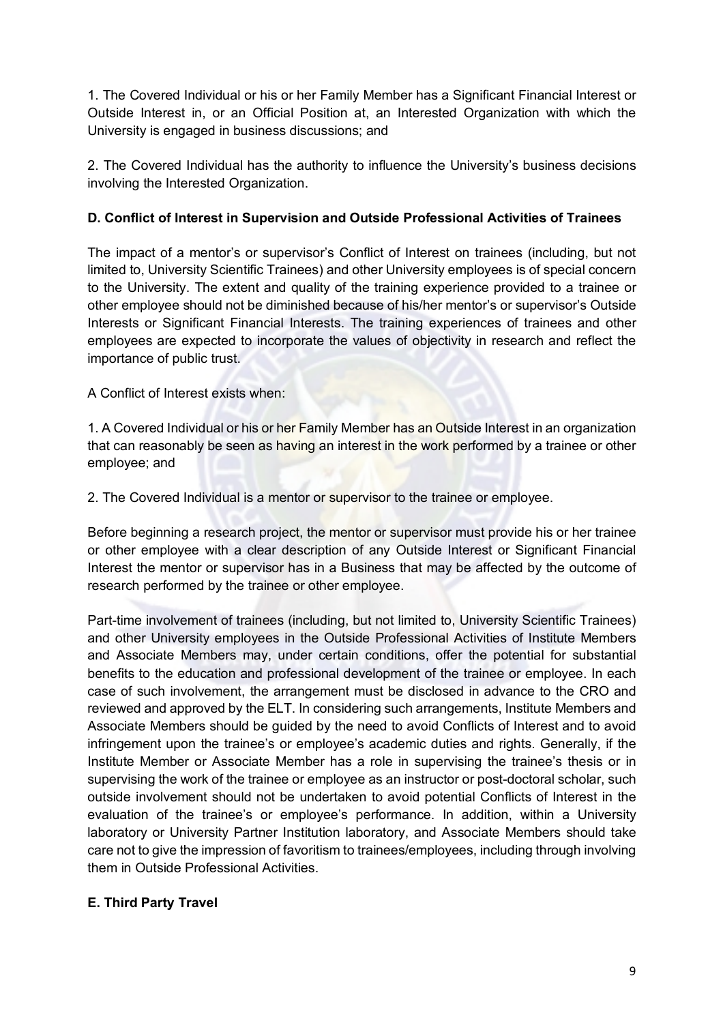1. The Covered Individual or his or her Family Member has a Significant Financial Interest or Outside Interest in, or an Official Position at, an Interested Organization with which the University is engaged in business discussions; and

2. The Covered Individual has the authority to influence the University's business decisions involving the Interested Organization.

# **D. Conflict of Interest in Supervision and Outside Professional Activities of Trainees**

The impact of a mentor's or supervisor's Conflict of Interest on trainees (including, but not limited to, University Scientific Trainees) and other University employees is of special concern to the University. The extent and quality of the training experience provided to a trainee or other employee should not be diminished because of his/her mentor's or supervisor's Outside Interests or Significant Financial Interests. The training experiences of trainees and other employees are expected to incorporate the values of objectivity in research and reflect the importance of public trust.

A Conflict of Interest exists when:

1. A Covered Individual or his or her Family Member has an Outside Interest in an organization that can reasonably be seen as having an interest in the work performed by a trainee or other employee; and

2. The Covered Individual is a mentor or supervisor to the trainee or employee.

Before beginning a research project, the mentor or supervisor must provide his or her trainee or other employee with a clear description of any Outside Interest or Significant Financial Interest the mentor or supervisor has in a Business that may be affected by the outcome of research performed by the trainee or other employee.

Part-time involvement of trainees (including, but not limited to, University Scientific Trainees) and other University employees in the Outside Professional Activities of Institute Members and Associate Members may, under certain conditions, offer the potential for substantial benefits to the education and professional development of the trainee or employee. In each case of such involvement, the arrangement must be disclosed in advance to the CRO and reviewed and approved by the ELT. In considering such arrangements, Institute Members and Associate Members should be guided by the need to avoid Conflicts of Interest and to avoid infringement upon the trainee's or employee's academic duties and rights. Generally, if the Institute Member or Associate Member has a role in supervising the trainee's thesis or in supervising the work of the trainee or employee as an instructor or post-doctoral scholar, such outside involvement should not be undertaken to avoid potential Conflicts of Interest in the evaluation of the trainee's or employee's performance. In addition, within a University laboratory or University Partner Institution laboratory, and Associate Members should take care not to give the impression of favoritism to trainees/employees, including through involving them in Outside Professional Activities.

# **E. Third Party Travel**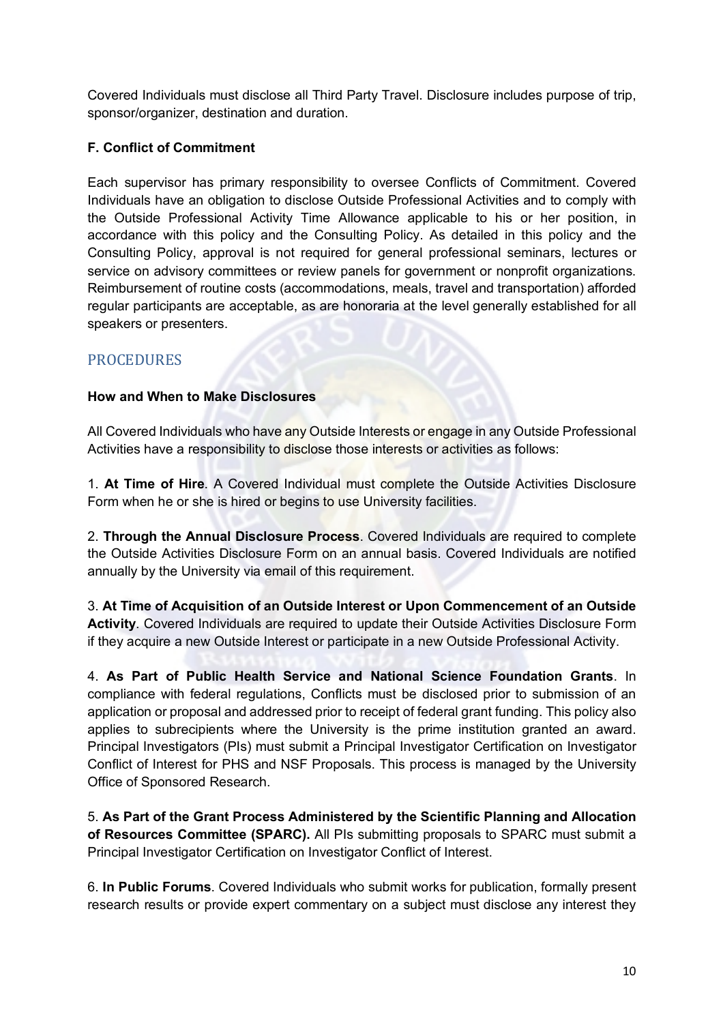Covered Individuals must disclose all Third Party Travel. Disclosure includes purpose of trip, sponsor/organizer, destination and duration.

# **F. Conflict of Commitment**

Each supervisor has primary responsibility to oversee Conflicts of Commitment. Covered Individuals have an obligation to disclose Outside Professional Activities and to comply with the Outside Professional Activity Time Allowance applicable to his or her position, in accordance with this policy and the Consulting Policy. As detailed in this policy and the Consulting Policy, approval is not required for general professional seminars, lectures or service on advisory committees or review panels for government or nonprofit organizations. Reimbursement of routine costs (accommodations, meals, travel and transportation) afforded regular participants are acceptable, as are honoraria at the level generally established for all speakers or presenters.

# **PROCEDURES**

# **How and When to Make Disclosures**

All Covered Individuals who have any Outside Interests or engage in any Outside Professional Activities have a responsibility to disclose those interests or activities as follows:

1. **At Time of Hire**. A Covered Individual must complete the Outside Activities Disclosure Form when he or she is hired or begins to use University facilities.

2. **Through the Annual Disclosure Process**. Covered Individuals are required to complete the Outside Activities Disclosure Form on an annual basis. Covered Individuals are notified annually by the University via email of this requirement.

3. **At Time of Acquisition of an Outside Interest or Upon Commencement of an Outside Activity**. Covered Individuals are required to update their Outside Activities Disclosure Form if they acquire a new Outside Interest or participate in a new Outside Professional Activity.

4. **As Part of Public Health Service and National Science Foundation Grants**. In compliance with federal regulations, Conflicts must be disclosed prior to submission of an application or proposal and addressed prior to receipt of federal grant funding. This policy also applies to subrecipients where the University is the prime institution granted an award. Principal Investigators (PIs) must submit a Principal Investigator Certification on Investigator Conflict of Interest for PHS and NSF Proposals. This process is managed by the University Office of Sponsored Research.

5. **As Part of the Grant Process Administered by the Scientific Planning and Allocation of Resources Committee (SPARC).** All PIs submitting proposals to SPARC must submit a Principal Investigator Certification on Investigator Conflict of Interest.

6. **In Public Forums**. Covered Individuals who submit works for publication, formally present research results or provide expert commentary on a subject must disclose any interest they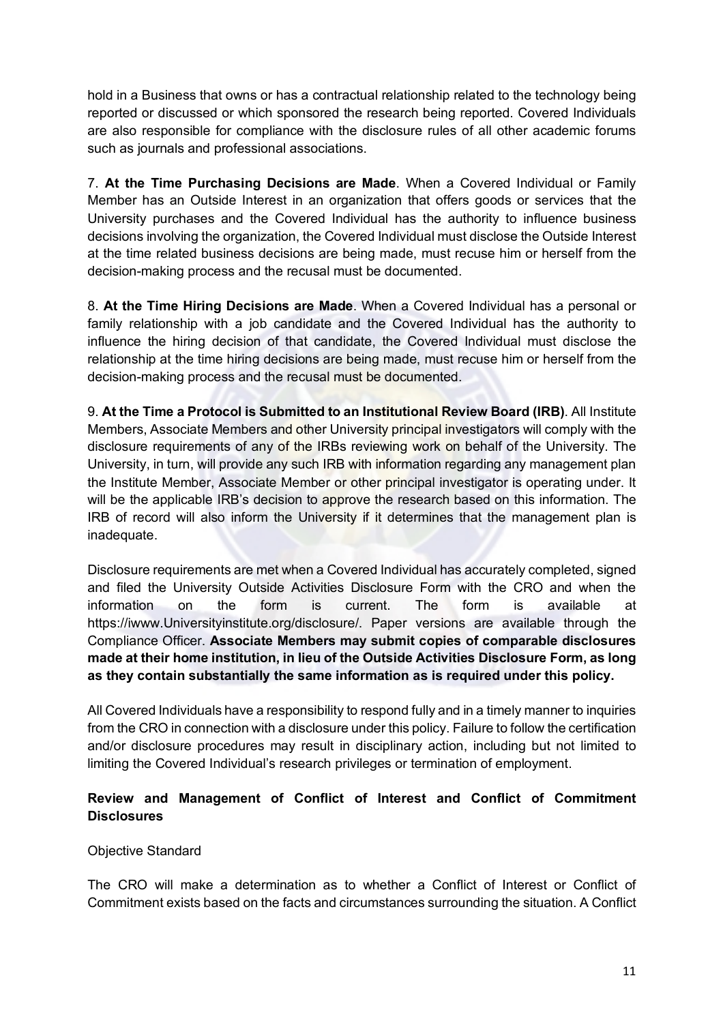hold in a Business that owns or has a contractual relationship related to the technology being reported or discussed or which sponsored the research being reported. Covered Individuals are also responsible for compliance with the disclosure rules of all other academic forums such as journals and professional associations.

7. **At the Time Purchasing Decisions are Made**. When a Covered Individual or Family Member has an Outside Interest in an organization that offers goods or services that the University purchases and the Covered Individual has the authority to influence business decisions involving the organization, the Covered Individual must disclose the Outside Interest at the time related business decisions are being made, must recuse him or herself from the decision-making process and the recusal must be documented.

8. **At the Time Hiring Decisions are Made**. When a Covered Individual has a personal or family relationship with a job candidate and the Covered Individual has the authority to influence the hiring decision of that candidate, the Covered Individual must disclose the relationship at the time hiring decisions are being made, must recuse him or herself from the decision-making process and the recusal must be documented.

9. **At the Time a Protocol is Submitted to an Institutional Review Board (IRB)**. All Institute Members, Associate Members and other University principal investigators will comply with the disclosure requirements of any of the IRBs reviewing work on behalf of the University. The University, in turn, will provide any such IRB with information regarding any management plan the Institute Member, Associate Member or other principal investigator is operating under. It will be the applicable IRB's decision to approve the research based on this information. The IRB of record will also inform the University if it determines that the management plan is inadequate.

Disclosure requirements are met when a Covered Individual has accurately completed, signed and filed the University Outside Activities Disclosure Form with the CRO and when the information on the form is current. The form is available at https://iwww.Universityinstitute.org/disclosure/. Paper versions are available through the Compliance Officer. **Associate Members may submit copies of comparable disclosures made at their home institution, in lieu of the Outside Activities Disclosure Form, as long as they contain substantially the same information as is required under this policy.** 

All Covered Individuals have a responsibility to respond fully and in a timely manner to inquiries from the CRO in connection with a disclosure under this policy. Failure to follow the certification and/or disclosure procedures may result in disciplinary action, including but not limited to limiting the Covered Individual's research privileges or termination of employment.

# **Review and Management of Conflict of Interest and Conflict of Commitment Disclosures**

### Objective Standard

The CRO will make a determination as to whether a Conflict of Interest or Conflict of Commitment exists based on the facts and circumstances surrounding the situation. A Conflict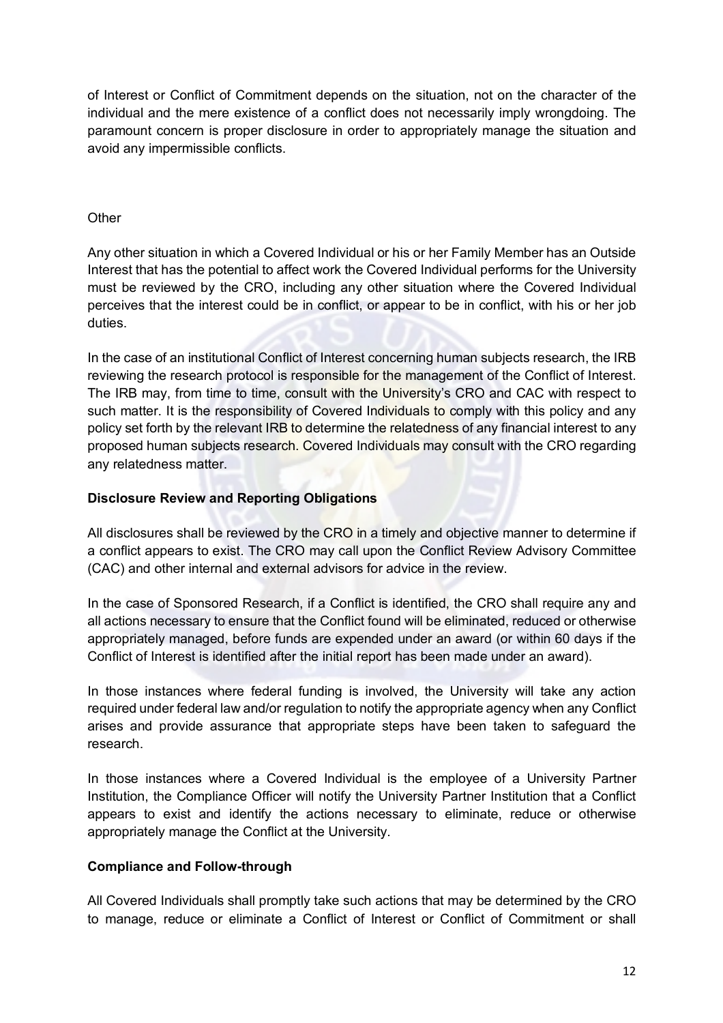of Interest or Conflict of Commitment depends on the situation, not on the character of the individual and the mere existence of a conflict does not necessarily imply wrongdoing. The paramount concern is proper disclosure in order to appropriately manage the situation and avoid any impermissible conflicts.

### **Other**

Any other situation in which a Covered Individual or his or her Family Member has an Outside Interest that has the potential to affect work the Covered Individual performs for the University must be reviewed by the CRO, including any other situation where the Covered Individual perceives that the interest could be in conflict, or appear to be in conflict, with his or her job duties.

In the case of an institutional Conflict of Interest concerning human subjects research, the IRB reviewing the research protocol is responsible for the management of the Conflict of Interest. The IRB may, from time to time, consult with the University's CRO and CAC with respect to such matter. It is the responsibility of Covered Individuals to comply with this policy and any policy set forth by the relevant IRB to determine the relatedness of any financial interest to any proposed human subjects research. Covered Individuals may consult with the CRO regarding any relatedness matter.

### **Disclosure Review and Reporting Obligations**

All disclosures shall be reviewed by the CRO in a timely and objective manner to determine if a conflict appears to exist. The CRO may call upon the Conflict Review Advisory Committee (CAC) and other internal and external advisors for advice in the review.

In the case of Sponsored Research, if a Conflict is identified, the CRO shall require any and all actions necessary to ensure that the Conflict found will be eliminated, reduced or otherwise appropriately managed, before funds are expended under an award (or within 60 days if the Conflict of Interest is identified after the initial report has been made under an award).

In those instances where federal funding is involved, the University will take any action required under federal law and/or regulation to notify the appropriate agency when any Conflict arises and provide assurance that appropriate steps have been taken to safeguard the research.

In those instances where a Covered Individual is the employee of a University Partner Institution, the Compliance Officer will notify the University Partner Institution that a Conflict appears to exist and identify the actions necessary to eliminate, reduce or otherwise appropriately manage the Conflict at the University.

# **Compliance and Follow-through**

All Covered Individuals shall promptly take such actions that may be determined by the CRO to manage, reduce or eliminate a Conflict of Interest or Conflict of Commitment or shall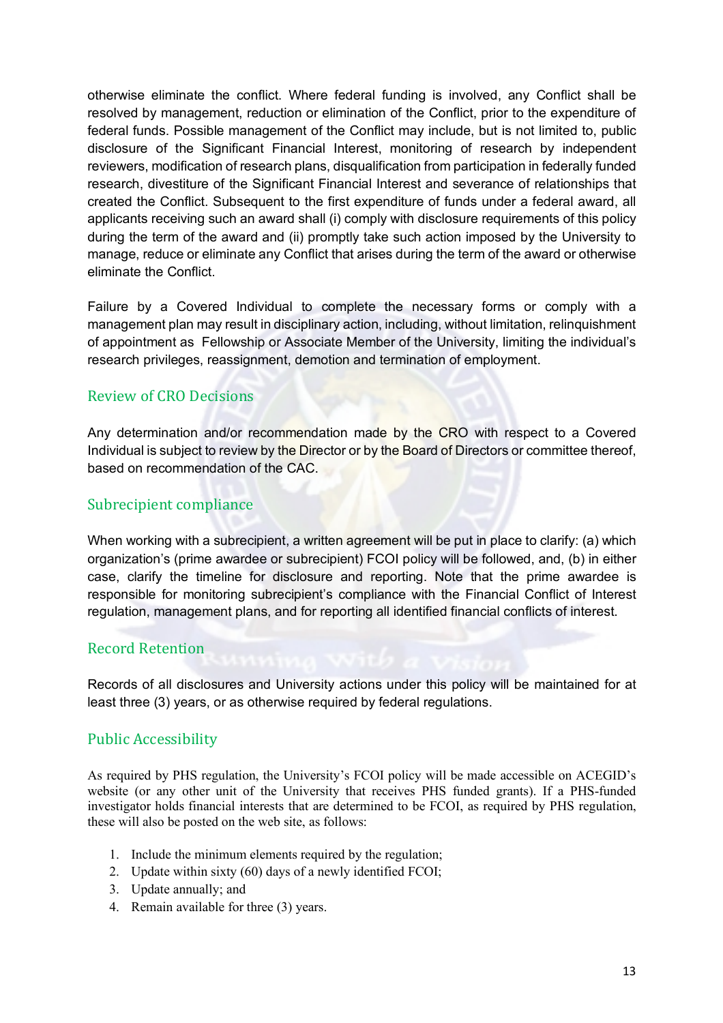otherwise eliminate the conflict. Where federal funding is involved, any Conflict shall be resolved by management, reduction or elimination of the Conflict, prior to the expenditure of federal funds. Possible management of the Conflict may include, but is not limited to, public disclosure of the Significant Financial Interest, monitoring of research by independent reviewers, modification of research plans, disqualification from participation in federally funded research, divestiture of the Significant Financial Interest and severance of relationships that created the Conflict. Subsequent to the first expenditure of funds under a federal award, all applicants receiving such an award shall (i) comply with disclosure requirements of this policy during the term of the award and (ii) promptly take such action imposed by the University to manage, reduce or eliminate any Conflict that arises during the term of the award or otherwise eliminate the Conflict.

Failure by a Covered Individual to complete the necessary forms or comply with a management plan may result in disciplinary action, including, without limitation, relinquishment of appointment as Fellowship or Associate Member of the University, limiting the individual's research privileges, reassignment, demotion and termination of employment.

# Review of CRO Decisions

Any determination and/or recommendation made by the CRO with respect to a Covered Individual is subject to review by the Director or by the Board of Directors or committee thereof, based on recommendation of the CAC.

# Subrecipient compliance

When working with a subrecipient, a written agreement will be put in place to clarify: (a) which organization's (prime awardee or subrecipient) FCOI policy will be followed, and, (b) in either case, clarify the timeline for disclosure and reporting. Note that the prime awardee is responsible for monitoring subrecipient's compliance with the Financial Conflict of Interest regulation, management plans, and for reporting all identified financial conflicts of interest.

# Record Retention

Records of all disclosures and University actions under this policy will be maintained for at least three (3) years, or as otherwise required by federal regulations.

# Public Accessibility

As required by PHS regulation, the University's FCOI policy will be made accessible on ACEGID's website (or any other unit of the University that receives PHS funded grants). If a PHS-funded investigator holds financial interests that are determined to be FCOI, as required by PHS regulation, these will also be posted on the web site, as follows:

- 1. Include the minimum elements required by the regulation;
- 2. Update within sixty (60) days of a newly identified FCOI;
- 3. Update annually; and
- 4. Remain available for three (3) years.